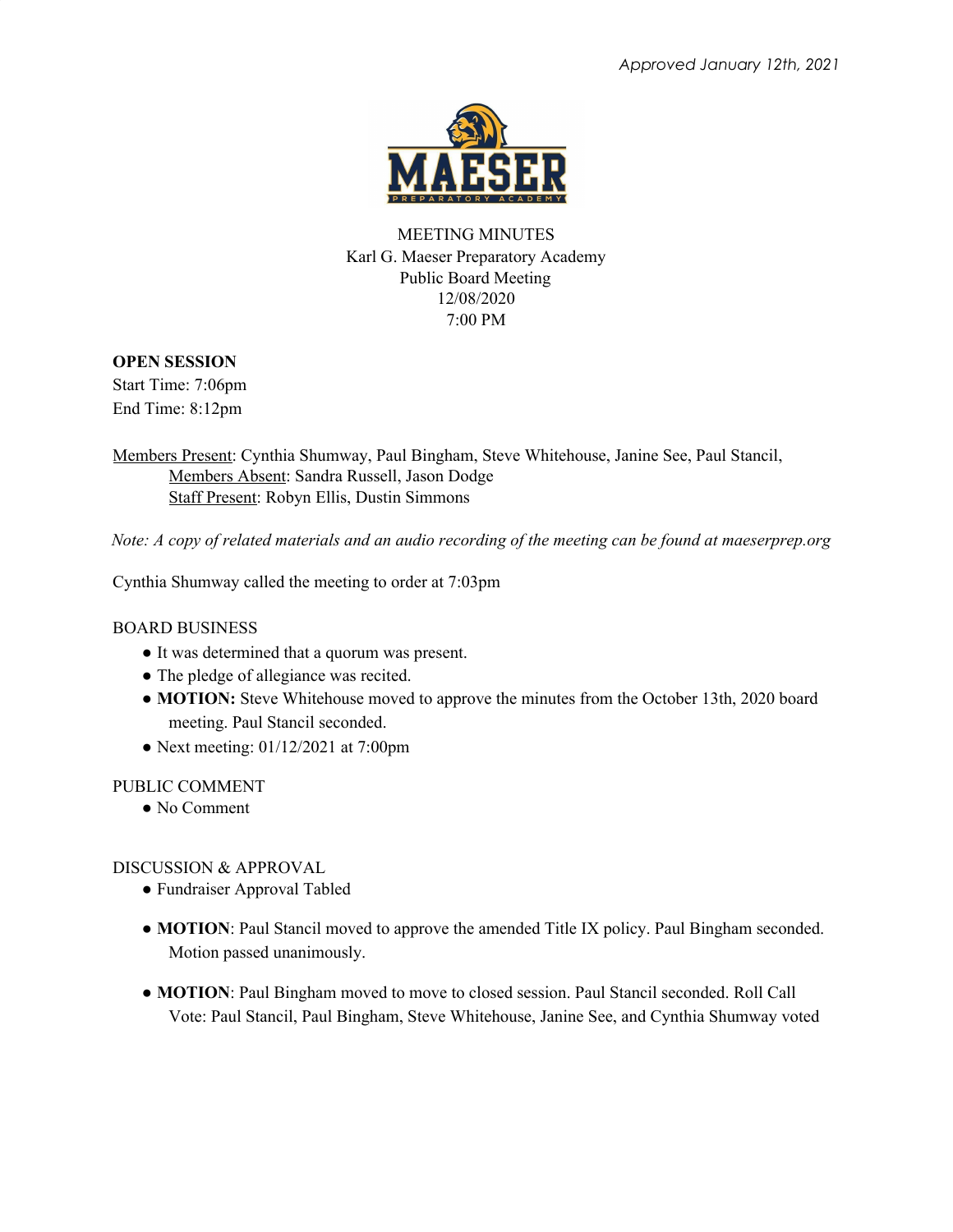

MEETING MINUTES Karl G. Maeser Preparatory Academy Public Board Meeting 12/08/2020 7:00 PM

# **OPEN SESSION**

Start Time: 7:06pm End Time: 8:12pm

Members Present: Cynthia Shumway, Paul Bingham, Steve Whitehouse, Janine See, Paul Stancil, Members Absent: Sandra Russell, Jason Dodge Staff Present: Robyn Ellis, Dustin Simmons

Note: A copy of related materials and an audio recording of the meeting can be found at maeserprep.org

Cynthia Shumway called the meeting to order at 7:03pm

### BOARD BUSINESS

- It was determined that a quorum was present.
- The pledge of allegiance was recited.
- **MOTION:** Steve Whitehouse moved to approve the minutes from the October 13th, 2020 board meeting. Paul Stancil seconded.
- Next meeting:  $01/12/2021$  at 7:00pm

### PUBLIC COMMENT

• No Comment

DISCUSSION & APPROVAL

- Fundraiser Approval Tabled
- **MOTION**: Paul Stancil moved to approve the amended Title IX policy. Paul Bingham seconded. Motion passed unanimously.
- **MOTION**: Paul Bingham moved to move to closed session. Paul Stancil seconded. Roll Call Vote: Paul Stancil, Paul Bingham, Steve Whitehouse, Janine See, and Cynthia Shumway voted